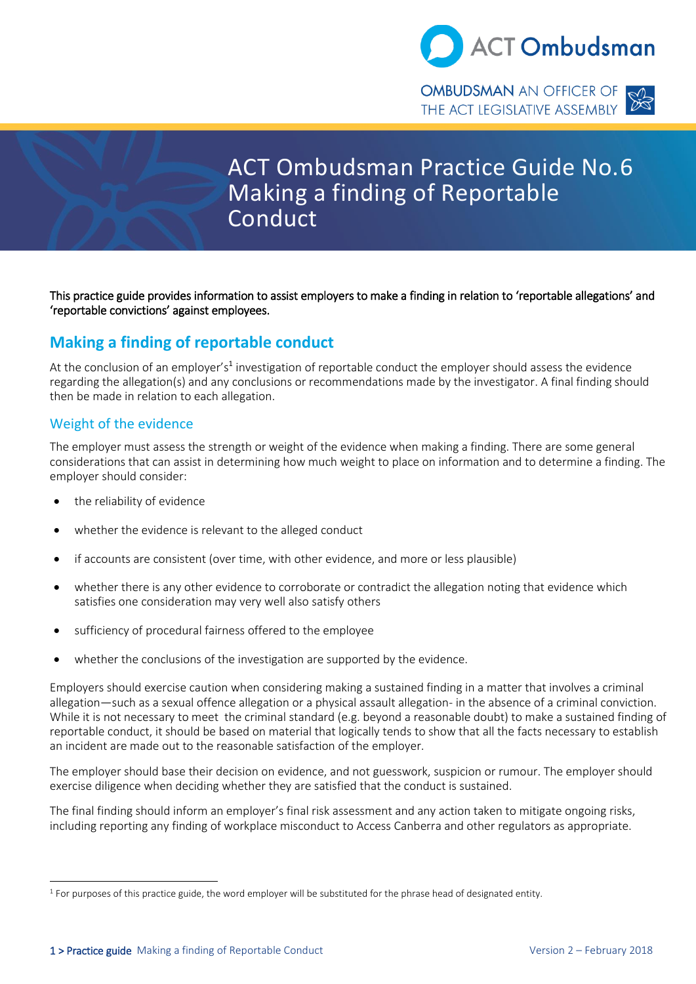

# ACT Ombudsman Practice Guide No.6 Making a finding of Reportable Conduct

This practice guide provides information to assist employers to make a finding in relation to 'reportable allegations' and 'reportable convictions' against employees.

# **Making a finding of reportable conduct**

At the conclusion of an employer's<sup>1</sup> investigation of reportable conduct the employer should assess the evidence regarding the allegation(s) and any conclusions or recommendations made by the investigator. A final finding should then be made in relation to each allegation.

### Weight of the evidence

The employer must assess the strength or weight of the evidence when making a finding. There are some general considerations that can assist in determining how much weight to place on information and to determine a finding. The employer should consider:

- the reliability of evidence
- whether the evidence is relevant to the alleged conduct
- if accounts are consistent (over time, with other evidence, and more or less plausible)
- whether there is any other evidence to corroborate or contradict the allegation noting that evidence which satisfies one consideration may very well also satisfy others
- sufficiency of procedural fairness offered to the employee
- whether the conclusions of the investigation are supported by the evidence.

Employers should exercise caution when considering making a sustained finding in a matter that involves a criminal allegation—such as a sexual offence allegation or a physical assault allegation- in the absence of a criminal conviction. While it is not necessary to meet the criminal standard (e.g. beyond a reasonable doubt) to make a sustained finding of reportable conduct, it should be based on material that logically tends to show that all the facts necessary to establish an incident are made out to the reasonable satisfaction of the employer.

The employer should base their decision on evidence, and not guesswork, suspicion or rumour. The employer should exercise diligence when deciding whether they are satisfied that the conduct is sustained.

The final finding should inform an employer's final risk assessment and any action taken to mitigate ongoing risks, including reporting any finding of workplace misconduct to Access Canberra and other regulators as appropriate.

<sup>&</sup>lt;sup>1</sup> For purposes of this practice guide, the word employer will be substituted for the phrase head of designated entity.